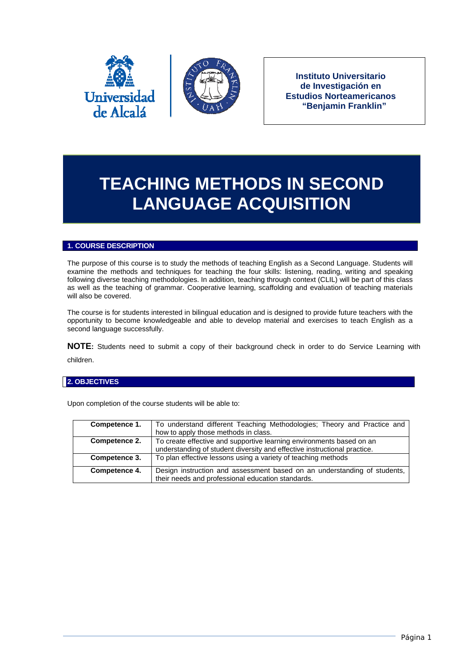



**Instituto Universitario de Investigación en Estudios Norteamericanos "Benjamin Franklin"**

# **TEACHING METHODS IN SECOND LANGUAGE ACQUISITION**

## **1. COURSE DESCRIPTION**

The purpose of this course is to study the methods of teaching English as a Second Language. Students will examine the methods and techniques for teaching the four skills: listening, reading, writing and speaking following diverse teaching methodologies. In addition, teaching through context (CLIL) will be part of this class as well as the teaching of grammar. Cooperative learning, scaffolding and evaluation of teaching materials will also be covered.

The course is for students interested in bilingual education and is designed to provide future teachers with the opportunity to become knowledgeable and able to develop material and exercises to teach English as a second language successfully.

**NOTE:** Students need to submit a copy of their background check in order to do Service Learning with children.

## **2. OBJECTIVES**

| Competence 1. | To understand different Teaching Methodologies; Theory and Practice and  |
|---------------|--------------------------------------------------------------------------|
|               | how to apply those methods in class.                                     |
| Competence 2. | To create effective and supportive learning environments based on an     |
|               | understanding of student diversity and effective instructional practice. |
| Competence 3. | To plan effective lessons using a variety of teaching methods            |
| Competence 4. | Design instruction and assessment based on an understanding of students, |
|               | their needs and professional education standards.                        |

Upon completion of the course students will be able to: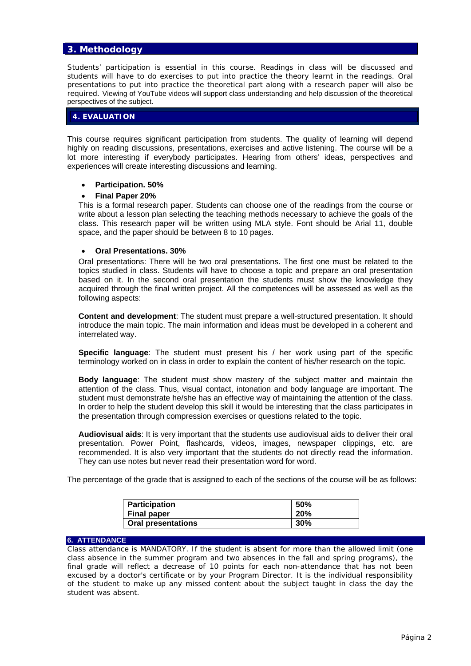# **3. Methodology**

Students' participation is essential in this course. Readings in class will be discussed and students will have to do exercises to put into practice the theory learnt in the readings. Oral presentations to put into practice the theoretical part along with a research paper will also be required. Viewing of YouTube videos will support class understanding and help discussion of the theoretical perspectives of the subject.

#### **4. EVALUATION**

This course requires significant participation from students. The quality of learning will depend highly on reading discussions, presentations, exercises and active listening. The course will be a lot more interesting if everybody participates. Hearing from others' ideas, perspectives and experiences will create interesting discussions and learning.

#### **Participation. 50%**

## **Final Paper 20%**

This is a formal research paper. Students can choose one of the readings from the course or write about a lesson plan selecting the teaching methods necessary to achieve the goals of the class. This research paper will be written using MLA style. Font should be Arial 11, double space, and the paper should be between 8 to 10 pages.

#### **Oral Presentations. 30%**

Oral presentations: There will be two oral presentations. The first one must be related to the topics studied in class. Students will have to choose a topic and prepare an oral presentation based on it. In the second oral presentation the students must show the knowledge they acquired through the final written project. All the competences will be assessed as well as the following aspects:

**Content and development**: The student must prepare a well-structured presentation. It should introduce the main topic. The main information and ideas must be developed in a coherent and interrelated way.

**Specific language**: The student must present his / her work using part of the specific terminology worked on in class in order to explain the content of his/her research on the topic.

**Body language**: The student must show mastery of the subject matter and maintain the attention of the class. Thus, visual contact, intonation and body language are important. The student must demonstrate he/she has an effective way of maintaining the attention of the class. In order to help the student develop this skill it would be interesting that the class participates in the presentation through compression exercises or questions related to the topic.

**Audiovisual aids**: It is very important that the students use audiovisual aids to deliver their oral presentation. Power Point, flashcards, videos, images, newspaper clippings, etc. are recommended. It is also very important that the students do not directly read the information. They can use notes but never read their presentation word for word.

The percentage of the grade that is assigned to each of the sections of the course will be as follows:

| <b>Participation</b>      | 50% |
|---------------------------|-----|
| <b>Final paper</b>        | 20% |
| <b>Oral presentations</b> | 30% |

#### **6. ATTENDANCE**

Class attendance is MANDATORY. If the student is absent for more than the allowed limit (one class absence in the summer program and two absences in the fall and spring programs), the final grade will reflect a decrease of 10 points for each non-attendance that has not been excused by a doctor's certificate or by your Program Director. It is the individual responsibility of the student to make up any missed content about the subject taught in class the day the student was absent.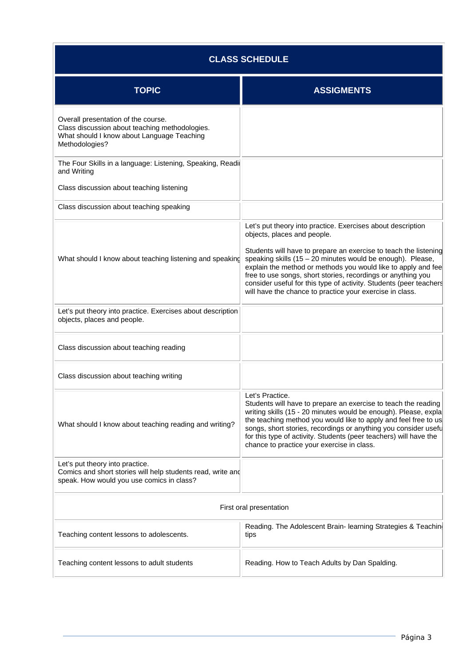| <b>CLASS SCHEDULE</b>                                                                                                                                 |                                                                                                                                                                                                                                                                                                                                                                                                                                                                                                   |  |  |
|-------------------------------------------------------------------------------------------------------------------------------------------------------|---------------------------------------------------------------------------------------------------------------------------------------------------------------------------------------------------------------------------------------------------------------------------------------------------------------------------------------------------------------------------------------------------------------------------------------------------------------------------------------------------|--|--|
| <b>TOPIC</b>                                                                                                                                          | <b>ASSIGMENTS</b>                                                                                                                                                                                                                                                                                                                                                                                                                                                                                 |  |  |
| Overall presentation of the course.<br>Class discussion about teaching methodologies.<br>What should I know about Language Teaching<br>Methodologies? |                                                                                                                                                                                                                                                                                                                                                                                                                                                                                                   |  |  |
| The Four Skills in a language: Listening, Speaking, Readir<br>and Writing                                                                             |                                                                                                                                                                                                                                                                                                                                                                                                                                                                                                   |  |  |
| Class discussion about teaching listening                                                                                                             |                                                                                                                                                                                                                                                                                                                                                                                                                                                                                                   |  |  |
| Class discussion about teaching speaking                                                                                                              |                                                                                                                                                                                                                                                                                                                                                                                                                                                                                                   |  |  |
| What should I know about teaching listening and speaking                                                                                              | Let's put theory into practice. Exercises about description<br>objects, places and people.<br>Students will have to prepare an exercise to teach the listening<br>speaking skills $(15 - 20$ minutes would be enough). Please,<br>explain the method or methods you would like to apply and fee<br>free to use songs, short stories, recordings or anything you<br>consider useful for this type of activity. Students (peer teachers<br>will have the chance to practice your exercise in class. |  |  |
| Let's put theory into practice. Exercises about description<br>objects, places and people.                                                            |                                                                                                                                                                                                                                                                                                                                                                                                                                                                                                   |  |  |
| Class discussion about teaching reading                                                                                                               |                                                                                                                                                                                                                                                                                                                                                                                                                                                                                                   |  |  |
| Class discussion about teaching writing                                                                                                               |                                                                                                                                                                                                                                                                                                                                                                                                                                                                                                   |  |  |
| What should I know about teaching reading and writing?                                                                                                | Let's Practice.<br>Students will have to prepare an exercise to teach the reading<br>writing skills (15 - 20 minutes would be enough). Please, expla<br>the teaching method you would like to apply and feel free to us<br>songs, short stories, recordings or anything you consider usefu<br>for this type of activity. Students (peer teachers) will have the<br>chance to practice your exercise in class.                                                                                     |  |  |
| Let's put theory into practice.<br>Comics and short stories will help students read, write and<br>speak. How would you use comics in class?           |                                                                                                                                                                                                                                                                                                                                                                                                                                                                                                   |  |  |
| First oral presentation                                                                                                                               |                                                                                                                                                                                                                                                                                                                                                                                                                                                                                                   |  |  |
| Teaching content lessons to adolescents.                                                                                                              | Reading. The Adolescent Brain- learning Strategies & Teachin<br>tips                                                                                                                                                                                                                                                                                                                                                                                                                              |  |  |
| Teaching content lessons to adult students                                                                                                            | Reading. How to Teach Adults by Dan Spalding.                                                                                                                                                                                                                                                                                                                                                                                                                                                     |  |  |